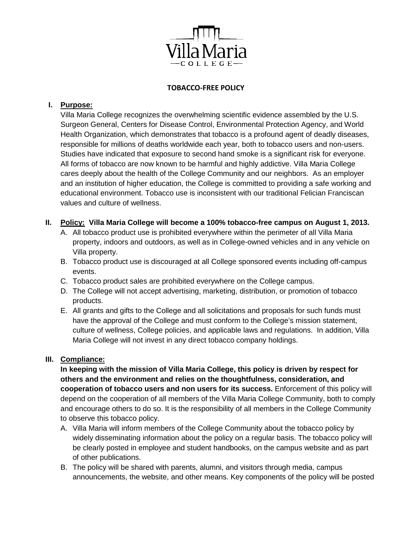

### **TOBACCO-FREE POLICY**

### **I. Purpose:**

Villa Maria College recognizes the overwhelming scientific evidence assembled by the U.S. Surgeon General, Centers for Disease Control, Environmental Protection Agency, and World Health Organization, which demonstrates that tobacco is a profound agent of deadly diseases, responsible for millions of deaths worldwide each year, both to tobacco users and non-users. Studies have indicated that exposure to second hand smoke is a significant risk for everyone. All forms of tobacco are now known to be harmful and highly addictive. Villa Maria College cares deeply about the health of the College Community and our neighbors. As an employer and an institution of higher education, the College is committed to providing a safe working and educational environment. Tobacco use is inconsistent with our traditional Felician Franciscan values and culture of wellness.

### **II. Policy: Villa Maria College will become a 100% tobacco-free campus on August 1, 2013.**

- A. All tobacco product use is prohibited everywhere within the perimeter of all Villa Maria property, indoors and outdoors, as well as in College-owned vehicles and in any vehicle on Villa property.
- B. Tobacco product use is discouraged at all College sponsored events including off-campus events.
- C. Tobacco product sales are prohibited everywhere on the College campus.
- D. The College will not accept advertising, marketing, distribution, or promotion of tobacco products.
- E. All grants and gifts to the College and all solicitations and proposals for such funds must have the approval of the College and must conform to the College's mission statement, culture of wellness, College policies, and applicable laws and regulations. In addition, Villa Maria College will not invest in any direct tobacco company holdings.

# **III. Compliance:**

**In keeping with the mission of Villa Maria College, this policy is driven by respect for others and the environment and relies on the thoughtfulness, consideration, and cooperation of tobacco users and non users for its success.** Enforcement of this policy will depend on the cooperation of all members of the Villa Maria College Community, both to comply and encourage others to do so. It is the responsibility of all members in the College Community to observe this tobacco policy.

- A. Villa Maria will inform members of the College Community about the tobacco policy by widely disseminating information about the policy on a regular basis. The tobacco policy will be clearly posted in employee and student handbooks, on the campus website and as part of other publications.
- B. The policy will be shared with parents, alumni, and visitors through media, campus announcements, the website, and other means. Key components of the policy will be posted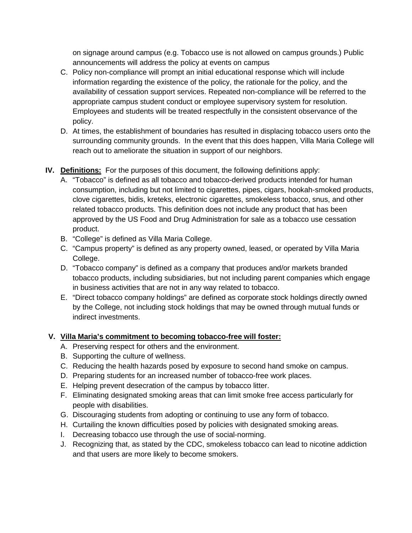on signage around campus (e.g. Tobacco use is not allowed on campus grounds.) Public announcements will address the policy at events on campus

- C. Policy non-compliance will prompt an initial educational response which will include information regarding the existence of the policy, the rationale for the policy, and the availability of cessation support services. Repeated non-compliance will be referred to the appropriate campus student conduct or employee supervisory system for resolution. Employees and students will be treated respectfully in the consistent observance of the policy.
- D. At times, the establishment of boundaries has resulted in displacing tobacco users onto the surrounding community grounds. In the event that this does happen, Villa Maria College will reach out to ameliorate the situation in support of our neighbors.

# **IV. Definitions:** For the purposes of this document, the following definitions apply:

- A. "Tobacco" is defined as all tobacco and tobacco-derived products intended for human consumption, including but not limited to cigarettes, pipes, cigars, hookah-smoked products, clove cigarettes, bidis, kreteks, electronic cigarettes, smokeless tobacco, snus, and other related tobacco products. This definition does not include any product that has been approved by the US Food and Drug Administration for sale as a tobacco use cessation product.
- B. "College" is defined as Villa Maria College.
- C. "Campus property" is defined as any property owned, leased, or operated by Villa Maria College.
- D. "Tobacco company" is defined as a company that produces and/or markets branded tobacco products, including subsidiaries, but not including parent companies which engage in business activities that are not in any way related to tobacco.
- E. "Direct tobacco company holdings" are defined as corporate stock holdings directly owned by the College, not including stock holdings that may be owned through mutual funds or indirect investments.

# **V. Villa Maria's commitment to becoming tobacco-free will foster:**

- A. Preserving respect for others and the environment.
- B. Supporting the culture of wellness.
- C. Reducing the health hazards posed by exposure to second hand smoke on campus.
- D. Preparing students for an increased number of tobacco-free work places.
- E. Helping prevent desecration of the campus by tobacco litter.
- F. Eliminating designated smoking areas that can limit smoke free access particularly for people with disabilities.
- G. Discouraging students from adopting or continuing to use any form of tobacco.
- H. Curtailing the known difficulties posed by policies with designated smoking areas.
- I. Decreasing tobacco use through the use of social-norming.
- J. Recognizing that, as stated by the CDC, smokeless tobacco can lead to nicotine addiction and that users are more likely to become smokers.